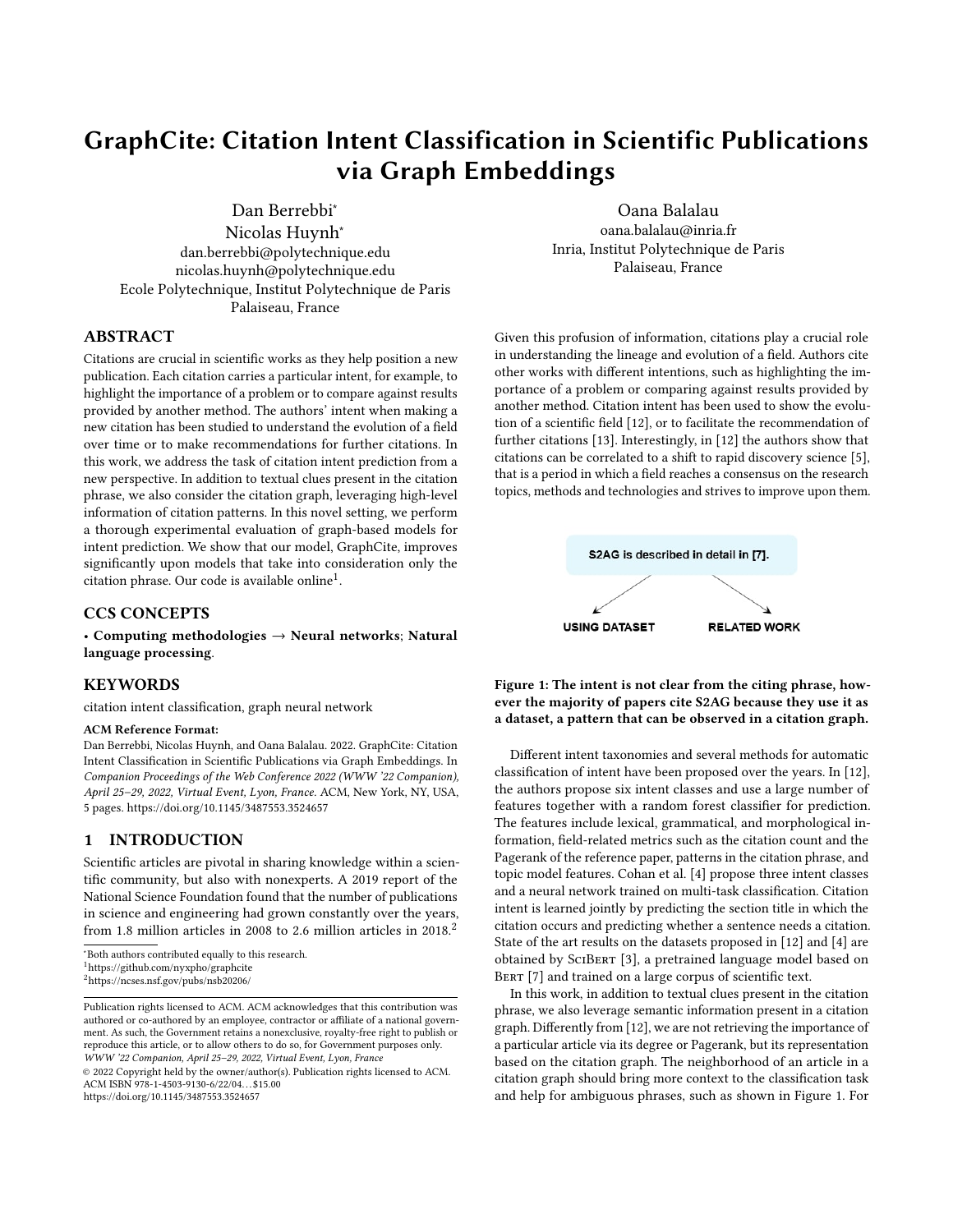# GraphCite: Citation Intent Classification in Scientific Publications via Graph Embeddings

Dan Berrebbi<sup>∗</sup> Nicolas Huynh<sup>∗</sup> dan.berrebbi@polytechnique.edu nicolas.huynh@polytechnique.edu Ecole Polytechnique, Institut Polytechnique de Paris Palaiseau, France

Oana Balalau oana.balalau@inria.fr Inria, Institut Polytechnique de Paris Palaiseau, France

# ABSTRACT

Citations are crucial in scientific works as they help position a new publication. Each citation carries a particular intent, for example, to highlight the importance of a problem or to compare against results provided by another method. The authors' intent when making a new citation has been studied to understand the evolution of a field over time or to make recommendations for further citations. In this work, we address the task of citation intent prediction from a new perspective. In addition to textual clues present in the citation phrase, we also consider the citation graph, leveraging high-level information of citation patterns. In this novel setting, we perform a thorough experimental evaluation of graph-based models for intent prediction. We show that our model, GraphCite, improves significantly upon models that take into consideration only the  $\tilde{\text{c}}$  citation phrase. Our code is available online<sup>[1](#page-0-0)</sup>.

# CCS CONCEPTS

• Computing methodologies  $\rightarrow$  Neural networks; Natural language processing.

# **KEYWORDS**

citation intent classification, graph neural network

#### ACM Reference Format:

Dan Berrebbi, Nicolas Huynh, and Oana Balalau. 2022. GraphCite: Citation Intent Classification in Scientific Publications via Graph Embeddings. In Companion Proceedings of the Web Conference 2022 (WWW '22 Companion), April 25–29, 2022, Virtual Event, Lyon, France. ACM, New York, NY, USA, [5](#page-4-0) pages.<https://doi.org/10.1145/3487553.3524657>

### 1 INTRODUCTION

Scientific articles are pivotal in sharing knowledge within a scientific community, but also with nonexperts. A 2019 report of the National Science Foundation found that the number of publications in science and engineering had grown constantly over the years, from 1.8 million articles in [2](#page-0-1)008 to 2.6 million articles in 2018.<sup>2</sup>

© 2022 Copyright held by the owner/author(s). Publication rights licensed to ACM. ACM ISBN 978-1-4503-9130-6/22/04. . . \$15.00 <https://doi.org/10.1145/3487553.3524657>

Given this profusion of information, citations play a crucial role in understanding the lineage and evolution of a field. Authors cite other works with different intentions, such as highlighting the importance of a problem or comparing against results provided by another method. Citation intent has been used to show the evolution of a scientific field [\[12\]](#page-4-1), or to facilitate the recommendation of further citations [\[13\]](#page-4-2). Interestingly, in [\[12\]](#page-4-1) the authors show that citations can be correlated to a shift to rapid discovery science [\[5\]](#page-4-3), that is a period in which a field reaches a consensus on the research topics, methods and technologies and strives to improve upon them.

<span id="page-0-2"></span>

Figure 1: The intent is not clear from the citing phrase, however the majority of papers cite S2AG because they use it as a dataset, a pattern that can be observed in a citation graph.

Different intent taxonomies and several methods for automatic classification of intent have been proposed over the years. In [\[12\]](#page-4-1), the authors propose six intent classes and use a large number of features together with a random forest classifier for prediction. The features include lexical, grammatical, and morphological information, field-related metrics such as the citation count and the Pagerank of the reference paper, patterns in the citation phrase, and topic model features. Cohan et al. [\[4\]](#page-3-0) propose three intent classes and a neural network trained on multi-task classification. Citation intent is learned jointly by predicting the section title in which the citation occurs and predicting whether a sentence needs a citation. State of the art results on the datasets proposed in [\[12\]](#page-4-1) and [\[4\]](#page-3-0) are obtained by SciBert [\[3\]](#page-3-1), a pretrained language model based on BERT [\[7\]](#page-4-4) and trained on a large corpus of scientific text.

In this work, in addition to textual clues present in the citation phrase, we also leverage semantic information present in a citation graph. Differently from [\[12\]](#page-4-1), we are not retrieving the importance of a particular article via its degree or Pagerank, but its representation based on the citation graph. The neighborhood of an article in a citation graph should bring more context to the classification task and help for ambiguous phrases, such as shown in Figure [1.](#page-0-2) For

<sup>∗</sup>Both authors contributed equally to this research.

<span id="page-0-0"></span><sup>1</sup><https://github.com/nyxpho/graphcite>

<span id="page-0-1"></span><sup>2</sup><https://ncses.nsf.gov/pubs/nsb20206/>

Publication rights licensed to ACM. ACM acknowledges that this contribution was authored or co-authored by an employee, contractor or affiliate of a national government. As such, the Government retains a nonexclusive, royalty-free right to publish or reproduce this article, or to allow others to do so, for Government purposes only. WWW '22 Companion, April 25–29, 2022, Virtual Event, Lyon, France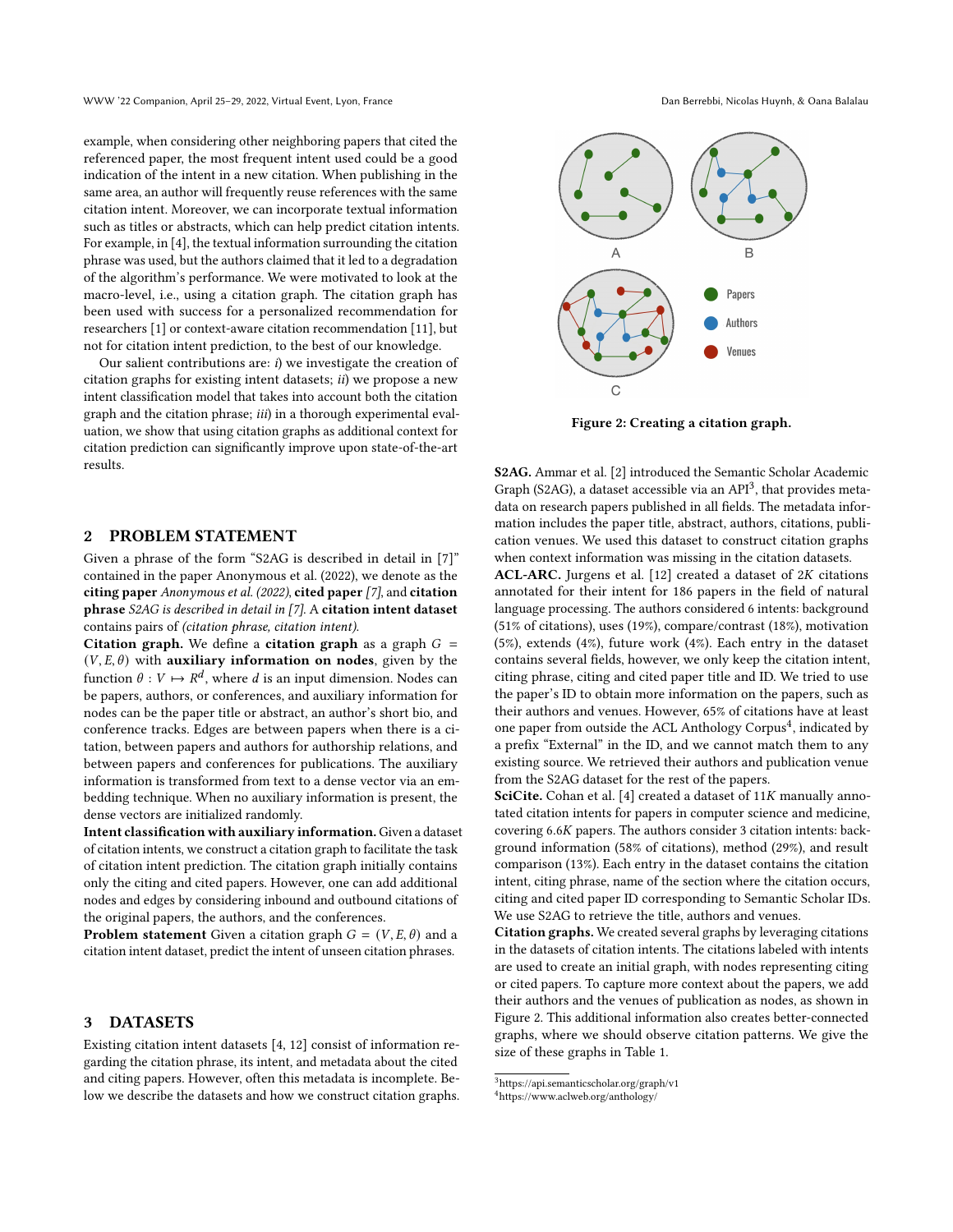WWW '22 Companion, April 25–29, 2022, Virtual Event, Lyon, France Dan Berrebbi, Nicolas Huynh, & Oana Balalau

example, when considering other neighboring papers that cited the referenced paper, the most frequent intent used could be a good indication of the intent in a new citation. When publishing in the same area, an author will frequently reuse references with the same citation intent. Moreover, we can incorporate textual information such as titles or abstracts, which can help predict citation intents. For example, in [\[4\]](#page-3-0), the textual information surrounding the citation phrase was used, but the authors claimed that it led to a degradation of the algorithm's performance. We were motivated to look at the macro-level, i.e., using a citation graph. The citation graph has been used with success for a personalized recommendation for researchers [\[1\]](#page-3-2) or context-aware citation recommendation [\[11\]](#page-4-5), but not for citation intent prediction, to the best of our knowledge.

Our salient contributions are:  $i$ ) we investigate the creation of citation graphs for existing intent datasets; ii) we propose a new intent classification model that takes into account both the citation graph and the citation phrase; *iii*) in a thorough experimental evaluation, we show that using citation graphs as additional context for citation prediction can significantly improve upon state-of-the-art results.

# 2 PROBLEM STATEMENT

Given a phrase of the form "S2AG is described in detail in [7]" contained in the paper Anonymous et al. (2022), we denote as the citing paper Anonymous et al. (2022), cited paper [7], and citation phrase S2AG is described in detail in [7]. A citation intent dataset contains pairs of (citation phrase, citation intent).

Citation graph. We define a citation graph as a graph  $G =$  $(V, E, \theta)$  with auxiliary information on nodes, given by the function  $\theta: V \mapsto R^d$ , where d is an input dimension. Nodes can be papers, authors, or conferences, and auxiliary information for nodes can be the paper title or abstract, an author's short bio, and conference tracks. Edges are between papers when there is a citation, between papers and authors for authorship relations, and between papers and conferences for publications. The auxiliary information is transformed from text to a dense vector via an embedding technique. When no auxiliary information is present, the dense vectors are initialized randomly.

Intent classification with auxiliary information.Given a dataset of citation intents, we construct a citation graph to facilitate the task of citation intent prediction. The citation graph initially contains only the citing and cited papers. However, one can add additional nodes and edges by considering inbound and outbound citations of the original papers, the authors, and the conferences.

**Problem statement** Given a citation graph  $G = (V, E, \theta)$  and a citation intent dataset, predict the intent of unseen citation phrases.

#### 3 DATASETS

Existing citation intent datasets [\[4,](#page-3-0) [12\]](#page-4-1) consist of information regarding the citation phrase, its intent, and metadata about the cited and citing papers. However, often this metadata is incomplete. Below we describe the datasets and how we construct citation graphs.

<span id="page-1-2"></span>

Figure 2: Creating a citation graph.

S2AG. Ammar et al. [\[2\]](#page-3-3) introduced the Semantic Scholar Academic Graph (S2AG), a dataset accessible via an  $API<sup>3</sup>$  $API<sup>3</sup>$  $API<sup>3</sup>$ , that provides metadata on research papers published in all fields. The metadata information includes the paper title, abstract, authors, citations, publication venues. We used this dataset to construct citation graphs when context information was missing in the citation datasets.

ACL-ARC. Jurgens et al.  $[12]$  created a dataset of  $2K$  citations annotated for their intent for 186 papers in the field of natural language processing. The authors considered 6 intents: background (51% of citations), uses (19%), compare/contrast (18%), motivation (5%), extends (4%), future work (4%). Each entry in the dataset contains several fields, however, we only keep the citation intent, citing phrase, citing and cited paper title and ID. We tried to use the paper's ID to obtain more information on the papers, such as their authors and venues. However, 65% of citations have at least one paper from outside the ACL Anthology Corpus<sup>[4](#page-1-1)</sup>, indicated by a prefix "External" in the ID, and we cannot match them to any existing source. We retrieved their authors and publication venue from the S2AG dataset for the rest of the papers.

SciCite. Cohan et al. [\[4\]](#page-3-0) created a dataset of  $11K$  manually annotated citation intents for papers in computer science and medicine, covering  $6.6K$  papers. The authors consider 3 citation intents: background information (58% of citations), method (29%), and result comparison (13%). Each entry in the dataset contains the citation intent, citing phrase, name of the section where the citation occurs, citing and cited paper ID corresponding to Semantic Scholar IDs. We use S2AG to retrieve the title, authors and venues.

Citation graphs. We created several graphs by leveraging citations in the datasets of citation intents. The citations labeled with intents are used to create an initial graph, with nodes representing citing or cited papers. To capture more context about the papers, we add their authors and the venues of publication as nodes, as shown in Figure [2.](#page-1-2) This additional information also creates better-connected graphs, where we should observe citation patterns. We give the size of these graphs in Table [1.](#page-2-0)

<span id="page-1-0"></span> $^3$ <https://api.semanticscholar.org/graph/v1>

<span id="page-1-1"></span><sup>4</sup>https://www.aclweb.org/anthology/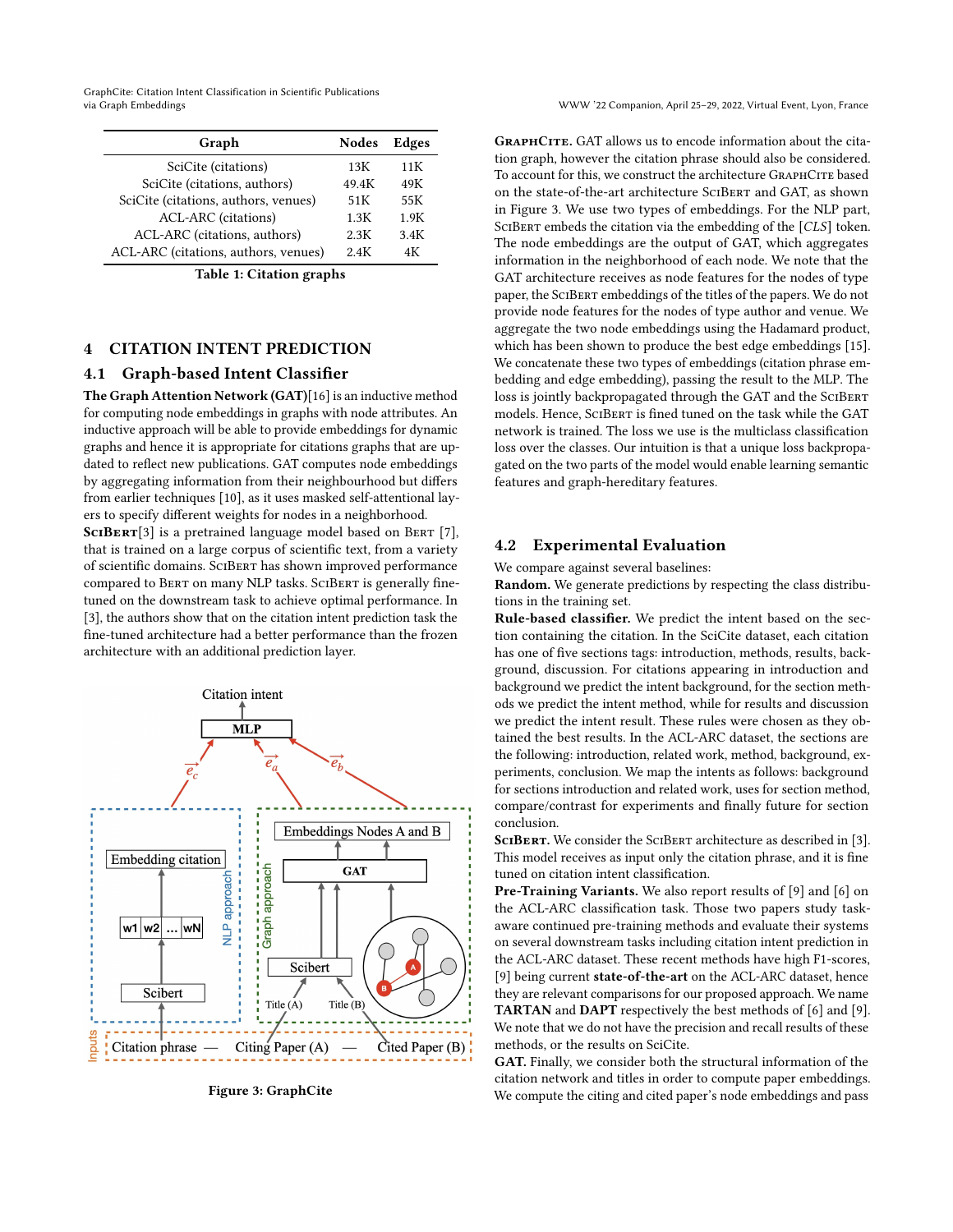GraphCite: Citation Intent Classification in Scientific Publications via Graph Embeddings WWW '22 Companion, April 25–29, 2022, Virtual Event, Lyon, France

<span id="page-2-0"></span>

| Graph                                | <b>Nodes</b> | Edges |
|--------------------------------------|--------------|-------|
| SciCite (citations)                  | 13K          | 11K   |
| SciCite (citations, authors)         | 49.4K        | 49K   |
| SciCite (citations, authors, venues) | 51K          | 55K   |
| ACL-ARC (citations)                  | 1.3K         | 1.9K  |
| ACL-ARC (citations, authors)         | 2.3K         | 3.4K  |
| ACL-ARC (citations, authors, venues) | 2.4K         | 4K    |

Table 1: Citation graphs

# 4 CITATION INTENT PREDICTION

#### 4.1 Graph-based Intent Classifier

The Graph Attention Network (GAT)[\[16\]](#page-4-6) is an inductive method for computing node embeddings in graphs with node attributes. An inductive approach will be able to provide embeddings for dynamic graphs and hence it is appropriate for citations graphs that are updated to reflect new publications. GAT computes node embeddings by aggregating information from their neighbourhood but differs from earlier techniques [\[10\]](#page-4-7), as it uses masked self-attentional layers to specify different weights for nodes in a neighborhood.

SCIBERT<sup>[\[3\]](#page-3-1)</sup> is a pretrained language model based on BERT [\[7\]](#page-4-4), that is trained on a large corpus of scientific text, from a variety of scientific domains. SciBert has shown improved performance compared to BERT on many NLP tasks. SCIBERT is generally finetuned on the downstream task to achieve optimal performance. In [\[3\]](#page-3-1), the authors show that on the citation intent prediction task the fine-tuned architecture had a better performance than the frozen architecture with an additional prediction layer.

<span id="page-2-1"></span>

Figure 3: GraphCite

GRAPHCITE. GAT allows us to encode information about the citation graph, however the citation phrase should also be considered. To account for this, we construct the architecture GRAPHCITE based on the state-of-the-art architecture SciBert and GAT, as shown in Figure [3.](#page-2-1) We use two types of embeddings. For the NLP part, SCIBERT embeds the citation via the embedding of the [CLS] token. The node embeddings are the output of GAT, which aggregates information in the neighborhood of each node. We note that the GAT architecture receives as node features for the nodes of type paper, the SciBert embeddings of the titles of the papers. We do not provide node features for the nodes of type author and venue. We aggregate the two node embeddings using the Hadamard product, which has been shown to produce the best edge embeddings [\[15\]](#page-4-8). We concatenate these two types of embeddings (citation phrase embedding and edge embedding), passing the result to the MLP. The loss is jointly backpropagated through the GAT and the SCIBERT models. Hence, SciBert is fined tuned on the task while the GAT network is trained. The loss we use is the multiclass classification loss over the classes. Our intuition is that a unique loss backpropagated on the two parts of the model would enable learning semantic features and graph-hereditary features.

#### 4.2 Experimental Evaluation

We compare against several baselines:

Random. We generate predictions by respecting the class distributions in the training set.

Rule-based classifier. We predict the intent based on the section containing the citation. In the SciCite dataset, each citation has one of five sections tags: introduction, methods, results, background, discussion. For citations appearing in introduction and background we predict the intent background, for the section methods we predict the intent method, while for results and discussion we predict the intent result. These rules were chosen as they obtained the best results. In the ACL-ARC dataset, the sections are the following: introduction, related work, method, background, experiments, conclusion. We map the intents as follows: background for sections introduction and related work, uses for section method, compare/contrast for experiments and finally future for section conclusion.

SCIBERT. We consider the SCIBERT architecture as described in [\[3\]](#page-3-1). This model receives as input only the citation phrase, and it is fine tuned on citation intent classification.

Pre-Training Variants. We also report results of [\[9\]](#page-4-9) and [\[6\]](#page-4-10) on the ACL-ARC classification task. Those two papers study taskaware continued pre-training methods and evaluate their systems on several downstream tasks including citation intent prediction in the ACL-ARC dataset. These recent methods have high F1-scores, [\[9\]](#page-4-9) being current state-of-the-art on the ACL-ARC dataset, hence they are relevant comparisons for our proposed approach. We name TARTAN and DAPT respectively the best methods of [\[6\]](#page-4-10) and [\[9\]](#page-4-9). We note that we do not have the precision and recall results of these methods, or the results on SciCite.

GAT. Finally, we consider both the structural information of the citation network and titles in order to compute paper embeddings. We compute the citing and cited paper's node embeddings and pass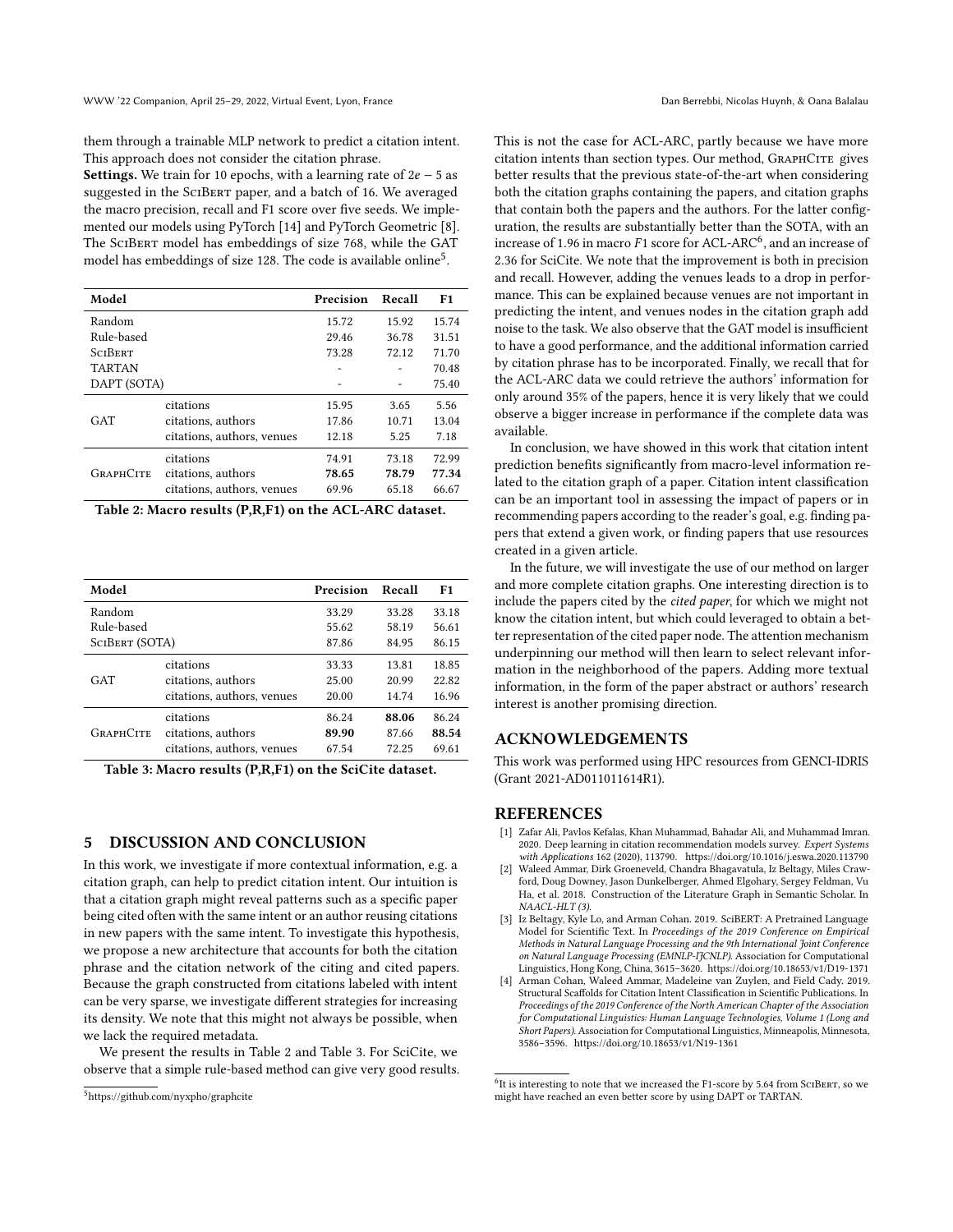them through a trainable MLP network to predict a citation intent. This approach does not consider the citation phrase.

**Settings.** We train for 10 epochs, with a learning rate of  $2e - 5$  as suggested in the SciBert paper, and a batch of 16. We averaged the macro precision, recall and F1 score over five seeds. We implemented our models using PyTorch [\[14\]](#page-4-11) and PyTorch Geometric [\[8\]](#page-4-12). The SciBert model has embeddings of size 768, while the GAT model has embeddings of size 128. The code is available online $^5$  $^5$ .

<span id="page-3-5"></span>

| Model            |                            | Precision | Recall | F1    |
|------------------|----------------------------|-----------|--------|-------|
| Random           |                            | 15.72     | 15.92  | 15.74 |
| Rule-based       |                            | 29.46     | 36.78  | 31.51 |
| <b>SCIBERT</b>   |                            | 73.28     | 72.12  | 71.70 |
| <b>TARTAN</b>    |                            |           |        | 70.48 |
| DAPT (SOTA)      |                            |           |        | 75.40 |
| GAT              | citations                  | 15.95     | 3.65   | 5.56  |
|                  | citations, authors         | 17.86     | 10.71  | 13.04 |
|                  | citations, authors, venues | 12.18     | 5.25   | 7.18  |
| <b>GRAPHCITE</b> | citations                  | 74.91     | 73.18  | 72.99 |
|                  | citations, authors         | 78.65     | 78.79  | 77.34 |
|                  | citations, authors, venues | 69.96     | 65.18  | 66.67 |

Table 2: Macro results (P,R,F1) on the ACL-ARC dataset.

<span id="page-3-6"></span>

| Model            |                            | Precision | Recall | F1    |
|------------------|----------------------------|-----------|--------|-------|
| Random           |                            | 33.29     | 33.28  | 33.18 |
| Rule-based       |                            | 55.62     | 58.19  | 56.61 |
| SCIBERT (SOTA)   |                            | 87.86     | 84.95  | 86.15 |
| GAT              | citations                  | 33.33     | 13.81  | 18.85 |
|                  | citations, authors         | 25.00     | 20.99  | 22.82 |
|                  | citations, authors, venues | 20.00     | 14.74  | 16.96 |
| <b>GRAPHCITE</b> | citations                  | 86.24     | 88.06  | 86.24 |
|                  | citations, authors         | 89.90     | 87.66  | 88.54 |
|                  | citations, authors, venues | 67.54     | 72.25  | 69.61 |

Table 3: Macro results (P,R,F1) on the SciCite dataset.

#### 5 DISCUSSION AND CONCLUSION

In this work, we investigate if more contextual information, e.g. a citation graph, can help to predict citation intent. Our intuition is that a citation graph might reveal patterns such as a specific paper being cited often with the same intent or an author reusing citations in new papers with the same intent. To investigate this hypothesis, we propose a new architecture that accounts for both the citation phrase and the citation network of the citing and cited papers. Because the graph constructed from citations labeled with intent can be very sparse, we investigate different strategies for increasing its density. We note that this might not always be possible, when we lack the required metadata.

We present the results in Table [2](#page-3-5) and Table [3.](#page-3-6) For SciCite, we observe that a simple rule-based method can give very good results. This is not the case for ACL-ARC, partly because we have more citation intents than section types. Our method, GRAPHCITE gives better results that the previous state-of-the-art when considering both the citation graphs containing the papers, and citation graphs that contain both the papers and the authors. For the latter configuration, the results are substantially better than the SOTA, with an increase of 1.9[6](#page-3-7) in macro F1 score for ACL-ARC<sup>6</sup>, and an increase of 2.36 for SciCite. We note that the improvement is both in precision and recall. However, adding the venues leads to a drop in performance. This can be explained because venues are not important in predicting the intent, and venues nodes in the citation graph add noise to the task. We also observe that the GAT model is insufficient to have a good performance, and the additional information carried by citation phrase has to be incorporated. Finally, we recall that for the ACL-ARC data we could retrieve the authors' information for only around 35% of the papers, hence it is very likely that we could observe a bigger increase in performance if the complete data was available.

In conclusion, we have showed in this work that citation intent prediction benefits significantly from macro-level information related to the citation graph of a paper. Citation intent classification can be an important tool in assessing the impact of papers or in recommending papers according to the reader's goal, e.g. finding papers that extend a given work, or finding papers that use resources created in a given article.

In the future, we will investigate the use of our method on larger and more complete citation graphs. One interesting direction is to include the papers cited by the cited paper, for which we might not know the citation intent, but which could leveraged to obtain a better representation of the cited paper node. The attention mechanism underpinning our method will then learn to select relevant information in the neighborhood of the papers. Adding more textual information, in the form of the paper abstract or authors' research interest is another promising direction.

#### ACKNOWLEDGEMENTS

This work was performed using HPC resources from GENCI-IDRIS (Grant 2021-AD011011614R1).

#### REFERENCES

- <span id="page-3-2"></span>[1] Zafar Ali, Pavlos Kefalas, Khan Muhammad, Bahadar Ali, and Muhammad Imran. 2020. Deep learning in citation recommendation models survey. Expert Systems with Applications 162 (2020), 113790.<https://doi.org/10.1016/j.eswa.2020.113790>
- <span id="page-3-3"></span>[2] Waleed Ammar, Dirk Groeneveld, Chandra Bhagavatula, Iz Beltagy, Miles Crawford, Doug Downey, Jason Dunkelberger, Ahmed Elgohary, Sergey Feldman, Vu Ha, et al. 2018. Construction of the Literature Graph in Semantic Scholar. In NAACL-HLT (3).
- <span id="page-3-1"></span>[3] Iz Beltagy, Kyle Lo, and Arman Cohan. 2019. SciBERT: A Pretrained Language Model for Scientific Text. In Proceedings of the 2019 Conference on Empirical Methods in Natural Language Processing and the 9th International Joint Conference on Natural Language Processing (EMNLP-IJCNLP). Association for Computational Linguistics, Hong Kong, China, 3615–3620.<https://doi.org/10.18653/v1/D19-1371>
- <span id="page-3-0"></span>[4] Arman Cohan, Waleed Ammar, Madeleine van Zuylen, and Field Cady. 2019. Structural Scaffolds for Citation Intent Classification in Scientific Publications. In Proceedings of the 2019 Conference of the North American Chapter of the Association for Computational Linguistics: Human Language Technologies, Volume 1 (Long and Short Papers). Association for Computational Linguistics, Minneapolis, Minnesota, 3586–3596.<https://doi.org/10.18653/v1/N19-1361>

<span id="page-3-4"></span><sup>5</sup><https://github.com/nyxpho/graphcite>

<span id="page-3-7"></span> $^{6}$ It is interesting to note that we increased the F1-score by 5.64 from ScIBERT, so we might have reached an even better score by using DAPT or TARTAN.